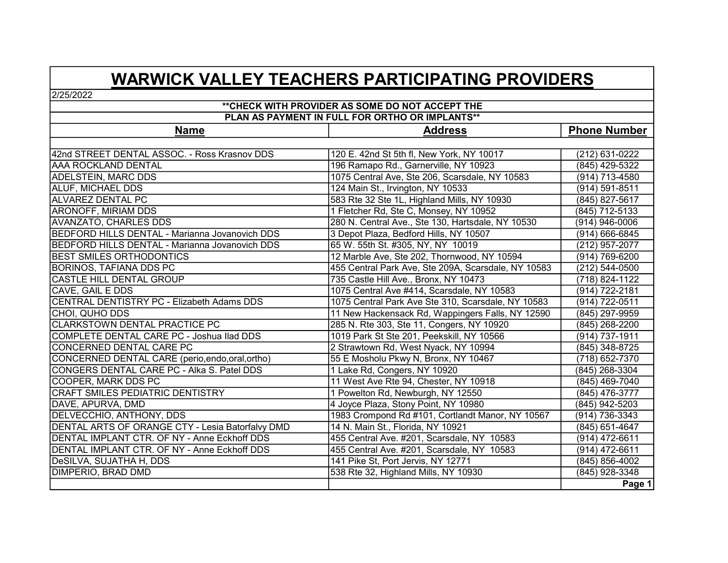## WARWICK VALLEY TEACHERS PARTICIPATING PROVIDERS

2/25/2022

## 141 Pike St, Port Jervis, NY 12771 (845) 856-4002 COMPLETE DENTAL CARE PC - Joshua Ilad DDS DeSILVA, SUJATHA H, DDS (845) 429-5322 55 E Mosholu Pkwy N, Bronx, NY 10467 (914) 736-3343 (914) 737-1911 \*\*CHECK WITH PROVIDER AS SOME DO NOT ACCEPT THE (845) 942-5203 ADELSTEIN, MARC DDS 1075 Central Ave, Ste 206, Scarsdale, NY 10583 (914) 713-4580 280 N. Central Ave., Ste 130, Hartsdale, NY 10530 AVANZATO, CHARLES DDS (914) 946-0006 ALUF, MICHAEL DDS AAA ROCKLAND DENTAL 42nd STREET DENTAL ASSOC. - Ross Krasnov DDS 120 E. 42nd St 5th fl, New York, NY 10017 (212) 631-0222 Name Reserves and the Multimediate Address the Phone Number of Phone Number PLAN AS PAYMENT IN FULL FOR ORTHO OR IMPLANTS\*\* CENTRAL DENTISTRY PC - Elizabeth Adams DDS 1075 Central Park Ave Ste 310, Scarsdale, NY 10583 12 Marble Ave, Ste 202, Thornwood, NY 10594 1075 Central Ave #414, Scarsdale, NY 10583 CHOI, QUHO DDS 735 Castle Hill Ave., Bronx, NY 10473 196 Ramapo Rd., Garnerville, NY 10923 (212) 544-0500 11 New Hackensack Rd, Wappingers Falls, NY 12590 CASTLE HILL DENTAL GROUP BEDFORD HILLS DENTAL - Marianna Jovanovich DDS 583 Rte 32 Ste 1L, Highland Mills, NY 10930 3 Depot Plaza, Bedford Hills, NY 10507 (914) 769-6200 ARONOFF, MIRIAM DDS 1 Fletcher Rd, Ste C, Monsey, NY 10952 BORINOS, TAFIANA DDS PC 1019 Park St Ste 201, Peekskill, NY 10566 CAVE, GAIL E DDS (845) 297-9959 (914) 722-0511 BEDFORD HILLS DENTAL - Marianna Jovanovich DDS 65 W. 55th St. #305, NY, NY 10019 BEST SMILES ORTHODONTICS (914) 722-2181 (718) 824-1122 CLARKSTOWN DENTAL PRACTICE PC 124 Main St., Irvington, NY 10533 (914) 591-8511 455 Central Park Ave, Ste 209A, Scarsdale, NY 10583 ALVAREZ DENTAL PC (914) 666-6845 (845) 827-5617 (845) 712-5133 (212) 957-2077 285 N. Rte 303, Ste 11, Congers, NY 10920 (845) 268-3304 DENTAL IMPLANT CTR. OF NY - Anne Eckhoff DDS CONGERS DENTAL CARE PC - Alka S. Patel DDS 1 Lake Rd, Congers, NY 10920 DELVECCHIO, ANTHONY, DDS DENTAL ARTS OF ORANGE CTY - Lesia Batorfalvy DMD CONCERNED DENTAL CARE PC (845) 348-8725 2 Strawtown Rd, West Nyack, NY 10994 CRAFT SMILES PEDIATRIC DENTISTRY (845) 928-3348 (718) 652-7370 DIMPERIO, BRAD DMD DENTAL IMPLANT CTR. OF NY - Anne Eckhoff DDS CONCERNED DENTAL CARE (perio,endo,oral,ortho) DAVE, APURVA, DMD 1 Powelton Rd, Newburgh, NY 12550 (845) 476-3777 (845) 268-2200 1983 Crompond Rd #101, Cortlandt Manor, NY 10567 (845) 651-4647 455 Central Ave. #201, Scarsdale, NY 10583 (914) 472-6611 455 Central Ave. #201, Scarsdale, NY 10583 (914) 472-6611 14 N. Main St., Florida, NY 10921 4 Joyce Plaza, Stony Point, NY 10980 538 Rte 32, Highland Mills, NY 10930 COOPER, MARK DDS PC 11 West Ave Rte 94, Chester, NY 10918 (845) 469-7040

Page 1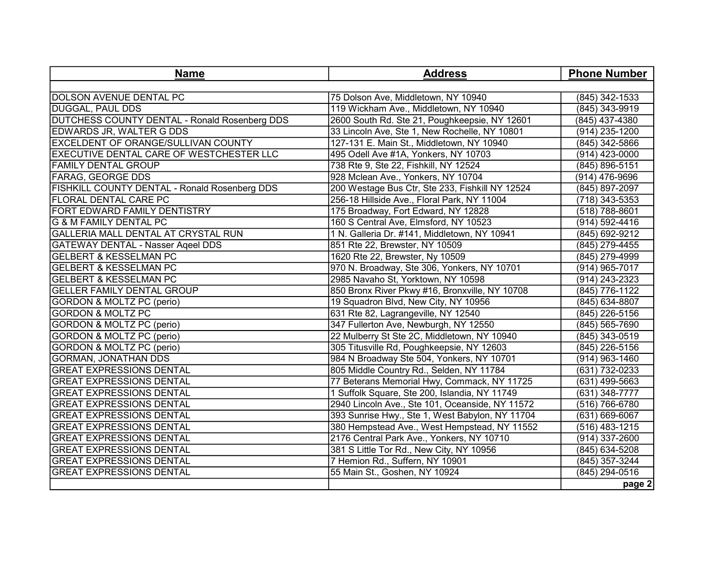| <b>Name</b>                                     | <b>Address</b>                                  | <b>Phone Number</b>   |
|-------------------------------------------------|-------------------------------------------------|-----------------------|
|                                                 |                                                 |                       |
| <b>DOLSON AVENUE DENTAL PC</b>                  | 75 Dolson Ave, Middletown, NY 10940             | (845) 342-1533        |
| <b>DUGGAL, PAUL DDS</b>                         | 119 Wickham Ave., Middletown, NY 10940          | (845) 343-9919        |
| DUTCHESS COUNTY DENTAL - Ronald Rosenberg DDS   | 2600 South Rd. Ste 21, Poughkeepsie, NY 12601   | (845) 437-4380        |
| <b>EDWARDS JR, WALTER G DDS</b>                 | 33 Lincoln Ave, Ste 1, New Rochelle, NY 10801   | (914) 235-1200        |
| EXCELDENT OF ORANGE/SULLIVAN COUNTY             | 127-131 E. Main St., Middletown, NY 10940       | (845) 342-5866        |
| <b>EXECUTIVE DENTAL CARE OF WESTCHESTER LLC</b> | 495 Odell Ave #1A, Yonkers, NY 10703            | (914) 423-0000        |
| <b>FAMILY DENTAL GROUP</b>                      | 738 Rte 9, Ste 22, Fishkill, NY 12524           | (845) 896-5151        |
| <b>FARAG, GEORGE DDS</b>                        | 928 Mclean Ave., Yonkers, NY 10704              | (914) 476-9696        |
| FISHKILL COUNTY DENTAL - Ronald Rosenberg DDS   | 200 Westage Bus Ctr, Ste 233, Fishkill NY 12524 | (845) 897-2097        |
| <b>FLORAL DENTAL CARE PC</b>                    | 256-18 Hillside Ave., Floral Park, NY 11004     | (718) 343-5353        |
| FORT EDWARD FAMILY DENTISTRY                    | 175 Broadway, Fort Edward, NY 12828             | (518) 788-8601        |
| <b>G &amp; M FAMILY DENTAL PC</b>               | 160 S Central Ave, Elmsford, NY 10523           | (914) 592-4416        |
| GALLERIA MALL DENTAL AT CRYSTAL RUN             | 1 N. Galleria Dr. #141, Middletown, NY 10941    | (845) 692-9212        |
| <b>GATEWAY DENTAL - Nasser Aqeel DDS</b>        | 851 Rte 22, Brewster, NY 10509                  | (845) 279-4455        |
| <b>GELBERT &amp; KESSELMAN PC</b>               | 1620 Rte 22, Brewster, Ny 10509                 | (845) 279-4999        |
| <b>GELBERT &amp; KESSELMAN PC</b>               | 970 N. Broadway, Ste 306, Yonkers, NY 10701     | (914) 965-7017        |
| <b>GELBERT &amp; KESSELMAN PC</b>               | 2985 Navaho St, Yorktown, NY 10598              | (914) 243-2323        |
| <b>GELLER FAMILY DENTAL GROUP</b>               | 850 Bronx River Pkwy #16, Bronxville, NY 10708  | (845) 776-1122        |
| <b>GORDON &amp; MOLTZ PC (perio)</b>            | 19 Squadron Blvd, New City, NY 10956            | (845) 634-8807        |
| <b>GORDON &amp; MOLTZ PC</b>                    | 631 Rte 82, Lagrangeville, NY 12540             | (845) 226-5156        |
| <b>GORDON &amp; MOLTZ PC (perio)</b>            | 347 Fullerton Ave, Newburgh, NY 12550           | (845) 565-7690        |
| <b>GORDON &amp; MOLTZ PC (perio)</b>            | 22 Mulberry St Ste 2C, Middletown, NY 10940     | (845) 343-0519        |
| <b>GORDON &amp; MOLTZ PC (perio)</b>            | 305 Titusville Rd, Poughkeepsie, NY 12603       | (845) 226-5156        |
| <b>GORMAN, JONATHAN DDS</b>                     | 984 N Broadway Ste 504, Yonkers, NY 10701       | (914) 963-1460        |
| <b>GREAT EXPRESSIONS DENTAL</b>                 | 805 Middle Country Rd., Selden, NY 11784        | (631) 732-0233        |
| <b>GREAT EXPRESSIONS DENTAL</b>                 | 77 Beterans Memorial Hwy, Commack, NY 11725     | (631) 499-5663        |
| <b>GREAT EXPRESSIONS DENTAL</b>                 | 1 Suffolk Square, Ste 200, Islandia, NY 11749   | $\sqrt{631}$ 348-7777 |
| <b>GREAT EXPRESSIONS DENTAL</b>                 | 2940 Lincoln Ave., Ste 101, Oceanside, NY 11572 | $(516) 766 - 6780$    |
| <b>GREAT EXPRESSIONS DENTAL</b>                 | 393 Sunrise Hwy., Ste 1, West Babylon, NY 11704 | (631) 669-6067        |
| <b>GREAT EXPRESSIONS DENTAL</b>                 | 380 Hempstead Ave., West Hempstead, NY 11552    | (516) 483-1215        |
| <b>GREAT EXPRESSIONS DENTAL</b>                 | 2176 Central Park Ave., Yonkers, NY 10710       | (914) 337-2600        |
| <b>GREAT EXPRESSIONS DENTAL</b>                 | 381 S Little Tor Rd., New City, NY 10956        | (845) 634-5208        |
| <b>GREAT EXPRESSIONS DENTAL</b>                 | 7 Hemion Rd., Suffern, NY 10901                 | (845) 357-3244        |
| <b>GREAT EXPRESSIONS DENTAL</b>                 | 55 Main St., Goshen, NY 10924                   | $(845)$ 294-0516      |
|                                                 |                                                 | page 2                |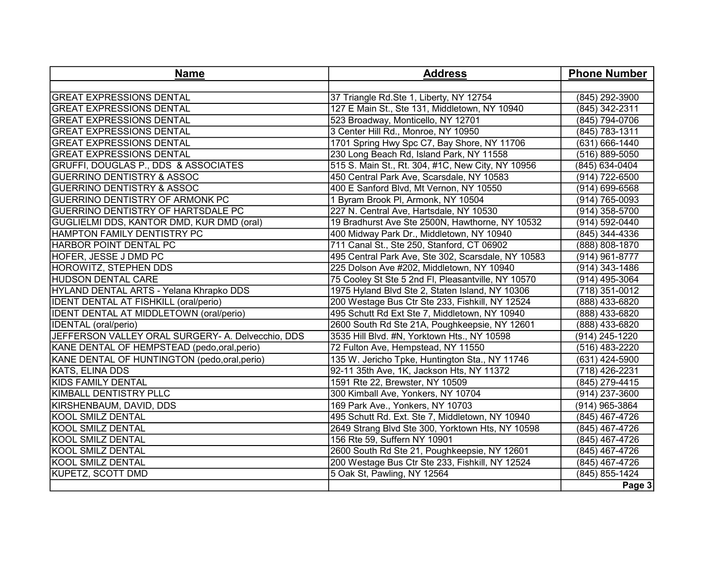| <b>Name</b>                                       | <b>Address</b>                                     | <b>Phone Number</b> |
|---------------------------------------------------|----------------------------------------------------|---------------------|
|                                                   |                                                    |                     |
| <b>GREAT EXPRESSIONS DENTAL</b>                   | 37 Triangle Rd.Ste 1, Liberty, NY 12754            | (845) 292-3900      |
| <b>GREAT EXPRESSIONS DENTAL</b>                   | 127 E Main St., Ste 131, Middletown, NY 10940      | (845) 342-2311      |
| <b>GREAT EXPRESSIONS DENTAL</b>                   | 523 Broadway, Monticello, NY 12701                 | (845) 794-0706      |
| <b>GREAT EXPRESSIONS DENTAL</b>                   | 3 Center Hill Rd., Monroe, NY 10950                | (845) 783-1311      |
| <b>GREAT EXPRESSIONS DENTAL</b>                   | 1701 Spring Hwy Spc C7, Bay Shore, NY 11706        | (631) 666-1440      |
| <b>GREAT EXPRESSIONS DENTAL</b>                   | 230 Long Beach Rd, Island Park, NY 11558           | (516) 889-5050      |
| GRUFFI, DOUGLAS P., DDS & ASSOCIATES              | 515 S. Main St., Rt. 304, #1C, New City, NY 10956  | (845) 634-0404      |
| <b>GUERRINO DENTISTRY &amp; ASSOC</b>             | 450 Central Park Ave, Scarsdale, NY 10583          | (914) 722-6500      |
| <b>GUERRINO DENTISTRY &amp; ASSOC</b>             | 400 E Sanford Blvd, Mt Vernon, NY 10550            | (914) 699-6568      |
| <b>GUERRINO DENTISTRY OF ARMONK PC</b>            | 1 Byram Brook PI, Armonk, NY 10504                 | (914) 765-0093      |
| <b>GUERRINO DENTISTRY OF HARTSDALE PC</b>         | 227 N. Central Ave, Hartsdale, NY 10530            | (914) 358-5700      |
| GUGLIELMI DDS, KANTOR DMD, KUR DMD (oral)         | 19 Bradhurst Ave Ste 2500N, Hawthorne, NY 10532    | (914) 592-0440      |
| <b>HAMPTON FAMILY DENTISTRY PC</b>                | 400 Midway Park Dr., Middletown, NY 10940          | (845) 344-4336      |
| HARBOR POINT DENTAL PC                            | 711 Canal St., Ste 250, Stanford, CT 06902         | (888) 808-1870      |
| <b>HOFER, JESSE J DMD PC</b>                      | 495 Central Park Ave, Ste 302, Scarsdale, NY 10583 | (914) 961-8777      |
| <b>HOROWITZ, STEPHEN DDS</b>                      | 225 Dolson Ave #202, Middletown, NY 10940          | (914) 343-1486      |
| <b>HUDSON DENTAL CARE</b>                         | 75 Cooley St Ste 5 2nd FI, Pleasantville, NY 10570 | (914) 495-3064      |
| HYLAND DENTAL ARTS - Yelana Khrapko DDS           | 1975 Hyland Blvd Ste 2, Staten Island, NY 10306    | (718) 351-0012      |
| <b>IDENT DENTAL AT FISHKILL (oral/perio)</b>      | 200 Westage Bus Ctr Ste 233, Fishkill, NY 12524    | (888) 433-6820      |
| <b>IDENT DENTAL AT MIDDLETOWN (oral/perio)</b>    | 495 Schutt Rd Ext Ste 7, Middletown, NY 10940      | (888) 433-6820      |
| <b>IDENTAL</b> (oral/perio)                       | 2600 South Rd Ste 21A, Poughkeepsie, NY 12601      | (888) 433-6820      |
| JEFFERSON VALLEY ORAL SURGERY- A. Delvecchio, DDS | 3535 Hill Blvd. #N, Yorktown Hts., NY 10598        | (914) 245-1220      |
| KANE DENTAL OF HEMPSTEAD (pedo,oral,perio)        | 72 Fulton Ave, Hempstead, NY 11550                 | (516) 483-2220      |
| KANE DENTAL OF HUNTINGTON (pedo, oral, perio)     | 135 W. Jericho Tpke, Huntington Sta., NY 11746     | (631) 424-5900      |
| <b>KATS, ELINA DDS</b>                            | 92-11 35th Ave, 1K, Jackson Hts, NY 11372          | (718) 426-2231      |
| <b>KIDS FAMILY DENTAL</b>                         | 1591 Rte 22, Brewster, NY 10509                    | (845) 279-4415      |
| KIMBALL DENTISTRY PLLC                            | 300 Kimball Ave, Yonkers, NY 10704                 | (914) 237-3600      |
| KIRSHENBAUM, DAVID, DDS                           | 169 Park Ave., Yonkers, NY 10703                   | (914) 965-3864      |
| <b>KOOL SMILZ DENTAL</b>                          | 495 Schutt Rd. Ext. Ste 7, Middletown, NY 10940    | (845) 467-4726      |
| KOOL SMILZ DENTAL                                 | 2649 Strang Blvd Ste 300, Yorktown Hts, NY 10598   | (845) 467-4726      |
| KOOL SMILZ DENTAL                                 | 156 Rte 59, Suffern NY 10901                       | (845) 467-4726      |
| KOOL SMILZ DENTAL                                 | 2600 South Rd Ste 21, Poughkeepsie, NY 12601       | (845) 467-4726      |
| KOOL SMILZ DENTAL                                 | 200 Westage Bus Ctr Ste 233, Fishkill, NY 12524    | (845) 467-4726      |
| <b>KUPETZ, SCOTT DMD</b>                          | 5 Oak St, Pawling, NY 12564                        | (845) 855-1424      |
|                                                   |                                                    | Page 3              |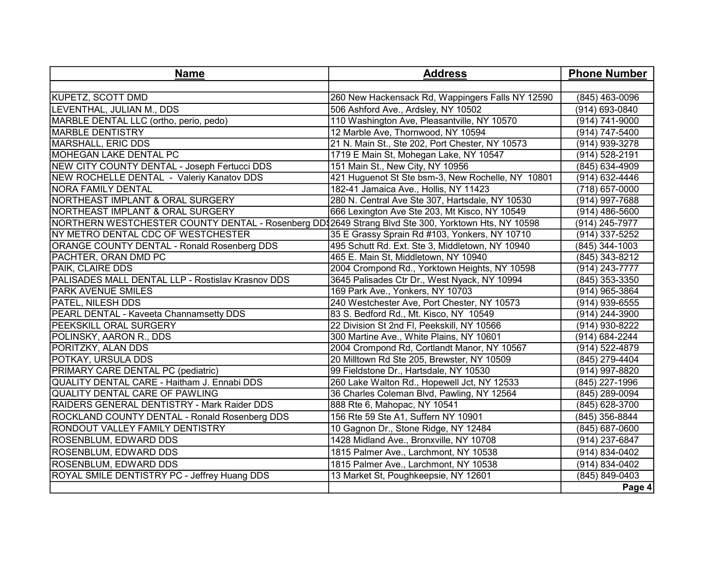| <b>Name</b>                                                                                         | <b>Address</b>                                    | <b>Phone Number</b> |
|-----------------------------------------------------------------------------------------------------|---------------------------------------------------|---------------------|
|                                                                                                     |                                                   |                     |
| <b>KUPETZ, SCOTT DMD</b>                                                                            | 260 New Hackensack Rd, Wappingers Falls NY 12590  | (845) 463-0096      |
| LEVENTHAL, JULIAN M., DDS                                                                           | 506 Ashford Ave., Ardsley, NY 10502               | (914) 693-0840      |
| MARBLE DENTAL LLC (ortho, perio, pedo)                                                              | 110 Washington Ave, Pleasantville, NY 10570       | (914) 741-9000      |
| <b>MARBLE DENTISTRY</b>                                                                             | 12 Marble Ave, Thornwood, NY 10594                | (914) 747-5400      |
| <b>MARSHALL, ERIC DDS</b>                                                                           | 21 N. Main St., Ste 202, Port Chester, NY 10573   | (914) 939-3278      |
| <b>MOHEGAN LAKE DENTAL PC</b>                                                                       | 1719 E Main St, Mohegan Lake, NY 10547            | (914) 528-2191      |
| NEW CITY COUNTY DENTAL - Joseph Fertucci DDS                                                        | 151 Main St., New City, NY 10956                  | (845) 634-4909      |
| NEW ROCHELLE DENTAL - Valeriy Kanatov DDS                                                           | 421 Huguenot St Ste bsm-3, New Rochelle, NY 10801 | (914) 632-4446      |
| <b>NORA FAMILY DENTAL</b>                                                                           | 182-41 Jamaica Ave., Hollis, NY 11423             | (718) 657-0000      |
| NORTHEAST IMPLANT & ORAL SURGERY                                                                    | 280 N. Central Ave Ste 307, Hartsdale, NY 10530   | (914) 997-7688      |
| NORTHEAST IMPLANT & ORAL SURGERY                                                                    | 666 Lexington Ave Ste 203, Mt Kisco, NY 10549     | (914) 486-5600      |
| NORTHERN WESTCHESTER COUNTY DENTAL - Rosenberg DD\$2649 Strang Blvd Ste 300, Yorktown Hts, NY 10598 |                                                   | (914) 245-7977      |
| NY METRO DENTAL CDC OF WESTCHESTER                                                                  | 35 E Grassy Sprain Rd #103, Yonkers, NY 10710     | (914) 337-5252      |
| ORANGE COUNTY DENTAL - Ronald Rosenberg DDS                                                         | 495 Schutt Rd. Ext. Ste 3, Middletown, NY 10940   | (845) 344-1003      |
| PACHTER, ORAN DMD PC                                                                                | 465 E. Main St, Middletown, NY 10940              | (845) 343-8212      |
| PAIK, CLAIRE DDS                                                                                    | 2004 Crompond Rd., Yorktown Heights, NY 10598     | (914) 243-7777      |
| PALISADES MALL DENTAL LLP - Rostislav Krasnov DDS                                                   | 3645 Palisades Ctr Dr., West Nyack, NY 10994      | (845) 353-3350      |
| <b>PARK AVENUE SMILES</b>                                                                           | 169 Park Ave., Yonkers, NY 10703                  | (914) 965-3864      |
| PATEL, NILESH DDS                                                                                   | 240 Westchester Ave, Port Chester, NY 10573       | $(914)$ 939-6555    |
| PEARL DENTAL - Kaveeta Channamsetty DDS                                                             | 83 S. Bedford Rd., Mt. Kisco, NY 10549            | (914) 244-3900      |
| PEEKSKILL ORAL SURGERY                                                                              | 22 Division St 2nd Fl, Peekskill, NY 10566        | (914) 930-8222      |
| POLINSKY, AARON R., DDS                                                                             | 300 Martine Ave., White Plains, NY 10601          | (914) 684-2244      |
| PORITZKY, ALAN DDS                                                                                  | 2004 Crompond Rd, Cortlandt Manor, NY 10567       | (914) 522-4879      |
| POTKAY, URSULA DDS                                                                                  | 20 Milltown Rd Ste 205, Brewster, NY 10509        | (845) 279-4404      |
| PRIMARY CARE DENTAL PC (pediatric)                                                                  | 99 Fieldstone Dr., Hartsdale, NY 10530            | (914) 997-8820      |
| QUALITY DENTAL CARE - Haitham J. Ennabi DDS                                                         | 260 Lake Walton Rd., Hopewell Jct, NY 12533       | (845) 227-1996      |
| <b>QUALITY DENTAL CARE OF PAWLING</b>                                                               | 36 Charles Coleman Blvd, Pawling, NY 12564        | (845) 289-0094      |
| RAIDERS GENERAL DENTISTRY - Mark Raider DDS                                                         | 888 Rte 6, Mahopac, NY 10541                      | (845) 628-3700      |
| ROCKLAND COUNTY DENTAL - Ronald Rosenberg DDS                                                       | 156 Rte 59 Ste A1, Suffern NY 10901               | (845) 356-8844      |
| RONDOUT VALLEY FAMILY DENTISTRY                                                                     | 10 Gagnon Dr., Stone Ridge, NY 12484              | (845) 687-0600      |
| <b>ROSENBLUM, EDWARD DDS</b>                                                                        | 1428 Midland Ave., Bronxville, NY 10708           | (914) 237-6847      |
| <b>ROSENBLUM, EDWARD DDS</b>                                                                        | 1815 Palmer Ave., Larchmont, NY 10538             | (914) 834-0402      |
| <b>ROSENBLUM, EDWARD DDS</b>                                                                        | 1815 Palmer Ave., Larchmont, NY 10538             | (914) 834-0402      |
| ROYAL SMILE DENTISTRY PC - Jeffrey Huang DDS                                                        | 13 Market St, Poughkeepsie, NY 12601              | (845) 849-0403      |
|                                                                                                     |                                                   | Page 4              |